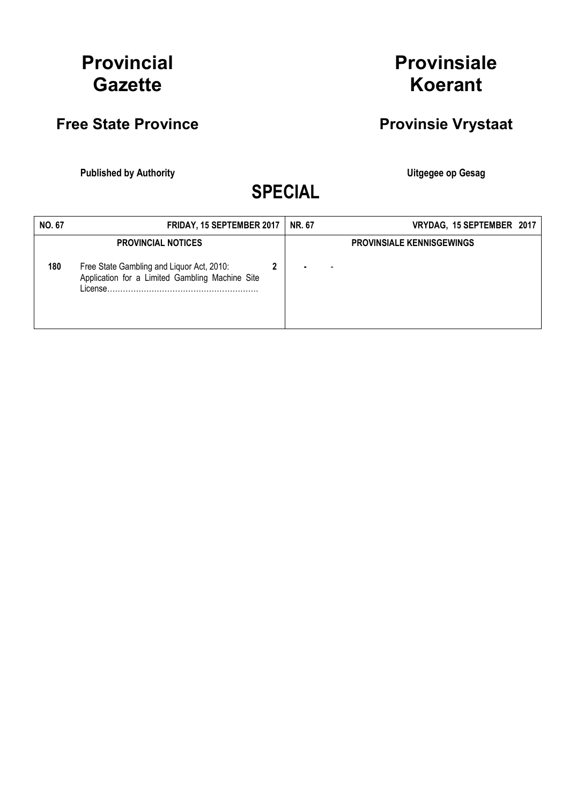# Provincial **Gazette**

## Free State Province **Provinsie Vrystaat**

Published by Authority **National Execution Control Control Control Control Control Control Control Control Control Control Control Control Control Control Control Control Control Control Control Control Control Control Con** 

Provinsiale

Koerant

SPECIAL

| <b>NO. 67</b> | <b>FRIDAY, 15 SEPTEMBER 2017</b>                                                             | <b>NR. 67</b> | VRYDAG, 15 SEPTEMBER 2017        |
|---------------|----------------------------------------------------------------------------------------------|---------------|----------------------------------|
|               | <b>PROVINCIAL NOTICES</b>                                                                    |               | <b>PROVINSIALE KENNISGEWINGS</b> |
| 180           | Free State Gambling and Liquor Act, 2010:<br>Application for a Limited Gambling Machine Site |               |                                  |